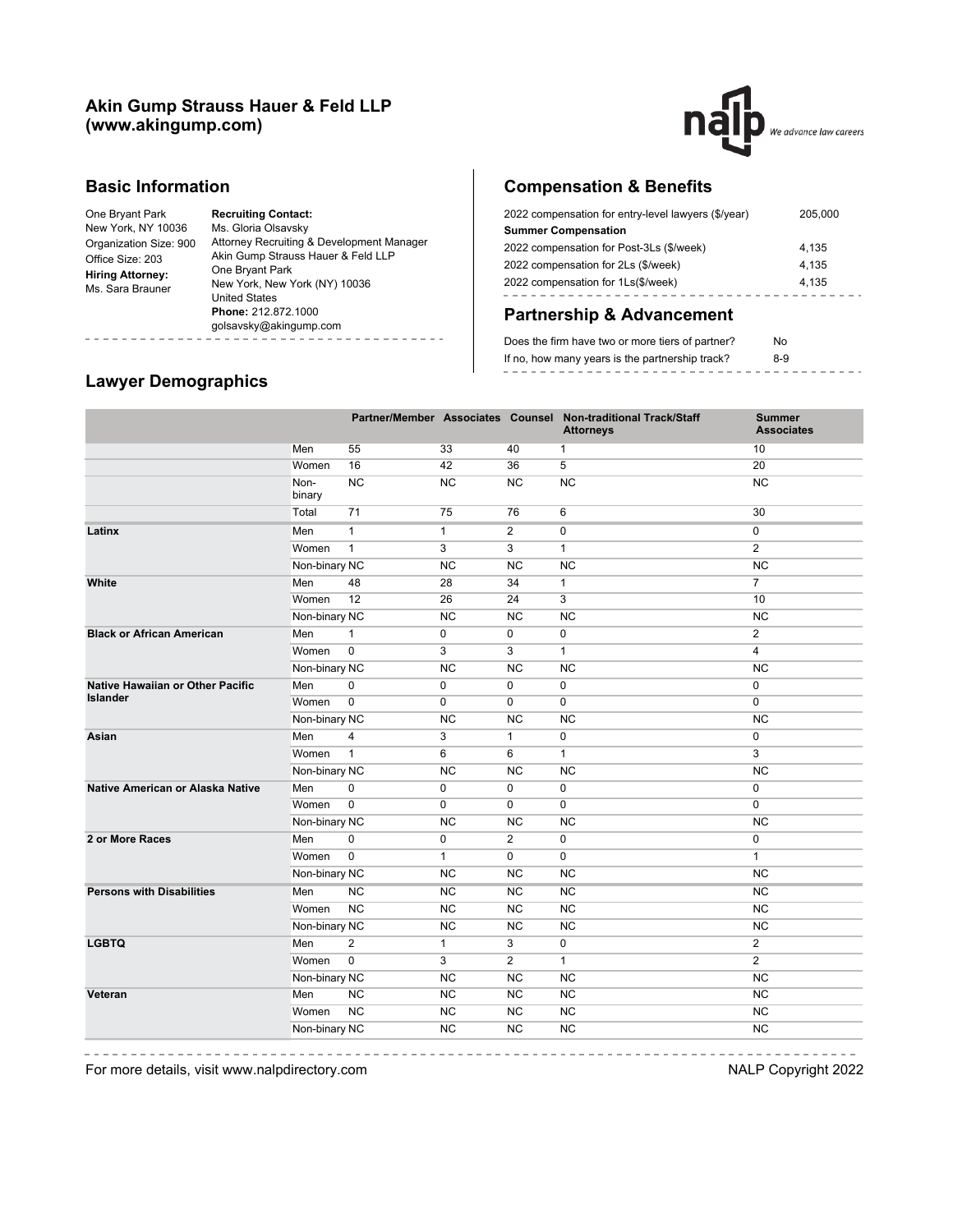### **Akin Gump Strauss Hauer & Feld LLP (www.akingump.com)**



### **Basic Information**

| One Bryant Park         | <b>Recruiting Contact:</b>                |  |  |  |
|-------------------------|-------------------------------------------|--|--|--|
| New York, NY 10036      | Ms. Gloria Olsavsky                       |  |  |  |
| Organization Size: 900  | Attorney Recruiting & Development Manager |  |  |  |
| Office Size: 203        | Akin Gump Strauss Hauer & Feld LLP        |  |  |  |
| <b>Hiring Attorney:</b> | One Bryant Park                           |  |  |  |
| Ms. Sara Brauner        | New York, New York (NY) 10036             |  |  |  |
|                         | <b>United States</b>                      |  |  |  |
|                         | Phone: 212.872.1000                       |  |  |  |
|                         | golsavsky@akingump.com                    |  |  |  |
|                         |                                           |  |  |  |

# **Compensation & Benefits**

| 2022 compensation for entry-level lawyers (\$/year) | 205,000 |
|-----------------------------------------------------|---------|
| <b>Summer Compensation</b>                          |         |
| 2022 compensation for Post-3Ls (\$/week)            | 4.135   |
| 2022 compensation for 2Ls (\$/week)                 | 4.135   |
| 2022 compensation for 1Ls(\$/week)                  | 4.135   |
|                                                     |         |

## **Partnership & Advancement**

| Does the firm have two or more tiers of partner? | No  |  |
|--------------------------------------------------|-----|--|
| If no, how many years is the partnership track?  | 8-9 |  |
|                                                  |     |  |

# **Lawyer Demographics**

|                                  |                |                |              |                | Partner/Member Associates Counsel Non-traditional Track/Staff<br><b>Attorneys</b> | <b>Summer</b><br><b>Associates</b> |
|----------------------------------|----------------|----------------|--------------|----------------|-----------------------------------------------------------------------------------|------------------------------------|
|                                  | Men            | 55             | 33           | 40             | 1                                                                                 | 10                                 |
|                                  | Women          | 16             | 42           | 36             | 5                                                                                 | 20                                 |
|                                  | Non-<br>binary | <b>NC</b>      | <b>NC</b>    | <b>NC</b>      | <b>NC</b>                                                                         | <b>NC</b>                          |
|                                  | Total          | 71             | 75           | 76             | 6                                                                                 | 30                                 |
| Latinx                           | Men            | $\mathbf{1}$   | $\mathbf{1}$ | 2              | $\mathbf 0$                                                                       | 0                                  |
|                                  | Women          | $\mathbf{1}$   | 3            | 3              | $\mathbf{1}$                                                                      | $\overline{2}$                     |
|                                  | Non-binary NC  |                | <b>NC</b>    | <b>NC</b>      | <b>NC</b>                                                                         | <b>NC</b>                          |
| White                            | Men            | 48             | 28           | 34             | 1                                                                                 | $\overline{7}$                     |
|                                  | Women          | 12             | 26           | 24             | 3                                                                                 | 10                                 |
|                                  | Non-binary NC  |                | <b>NC</b>    | <b>NC</b>      | <b>NC</b>                                                                         | <b>NC</b>                          |
| <b>Black or African American</b> | Men            | $\mathbf{1}$   | 0            | 0              | 0                                                                                 | $\overline{2}$                     |
|                                  | Women          | $\pmb{0}$      | 3            | 3              | $\mathbf{1}$                                                                      | 4                                  |
|                                  | Non-binary NC  |                | <b>NC</b>    | <b>NC</b>      | <b>NC</b>                                                                         | <b>NC</b>                          |
| Native Hawaiian or Other Pacific | Men            | 0              | 0            | 0              | 0                                                                                 | 0                                  |
| <b>Islander</b>                  | Women          | $\mathbf 0$    | 0            | 0              | 0                                                                                 | 0                                  |
|                                  | Non-binary NC  |                | <b>NC</b>    | <b>NC</b>      | <b>NC</b>                                                                         | <b>NC</b>                          |
| Asian                            | Men            | 4              | 3            | $\mathbf{1}$   | 0                                                                                 | 0                                  |
|                                  | Women          | $\overline{1}$ | 6            | 6              | $\mathbf{1}$                                                                      | 3                                  |
|                                  | Non-binary NC  |                | <b>NC</b>    | <b>NC</b>      | <b>NC</b>                                                                         | <b>NC</b>                          |
| Native American or Alaska Native | Men            | $\mathbf 0$    | $\mathbf 0$  | 0              | 0                                                                                 | 0                                  |
|                                  | Women          | $\mathbf 0$    | $\mathbf 0$  | $\mathbf 0$    | $\mathbf 0$                                                                       | 0                                  |
|                                  | Non-binary NC  |                | <b>NC</b>    | <b>NC</b>      | <b>NC</b>                                                                         | <b>NC</b>                          |
| 2 or More Races                  | Men            | $\pmb{0}$      | $\pmb{0}$    | $\overline{2}$ | 0                                                                                 | 0                                  |
|                                  | Women          | $\pmb{0}$      | $\mathbf{1}$ | $\mathbf 0$    | 0                                                                                 | $\mathbf{1}$                       |
|                                  | Non-binary NC  |                | <b>NC</b>    | <b>NC</b>      | <b>NC</b>                                                                         | <b>NC</b>                          |
| <b>Persons with Disabilities</b> | Men            | <b>NC</b>      | <b>NC</b>    | <b>NC</b>      | <b>NC</b>                                                                         | <b>NC</b>                          |
|                                  | Women          | NC             | NC           | NC             | NC                                                                                | NC                                 |
|                                  | Non-binary NC  |                | <b>NC</b>    | <b>NC</b>      | <b>NC</b>                                                                         | <b>NC</b>                          |
| <b>LGBTQ</b>                     | Men            | 2              | $\mathbf{1}$ | 3              | 0                                                                                 | $\overline{2}$                     |
|                                  | Women          | $\mathbf 0$    | 3            | 2              | $\mathbf{1}$                                                                      | $\overline{2}$                     |
|                                  | Non-binary NC  |                | <b>NC</b>    | <b>NC</b>      | <b>NC</b>                                                                         | <b>NC</b>                          |
| Veteran                          | Men            | <b>NC</b>      | <b>NC</b>    | <b>NC</b>      | <b>NC</b>                                                                         | <b>NC</b>                          |
|                                  | Women          | NC             | <b>NC</b>    | NC             | NC                                                                                | NC                                 |
|                                  | Non-binary NC  |                | <b>NC</b>    | <b>NC</b>      | <b>NC</b>                                                                         | <b>NC</b>                          |
|                                  |                |                |              |                |                                                                                   |                                    |

-------

For more details, visit www.nalpdirectory.com **NALP Copyright 2022** 

----------------------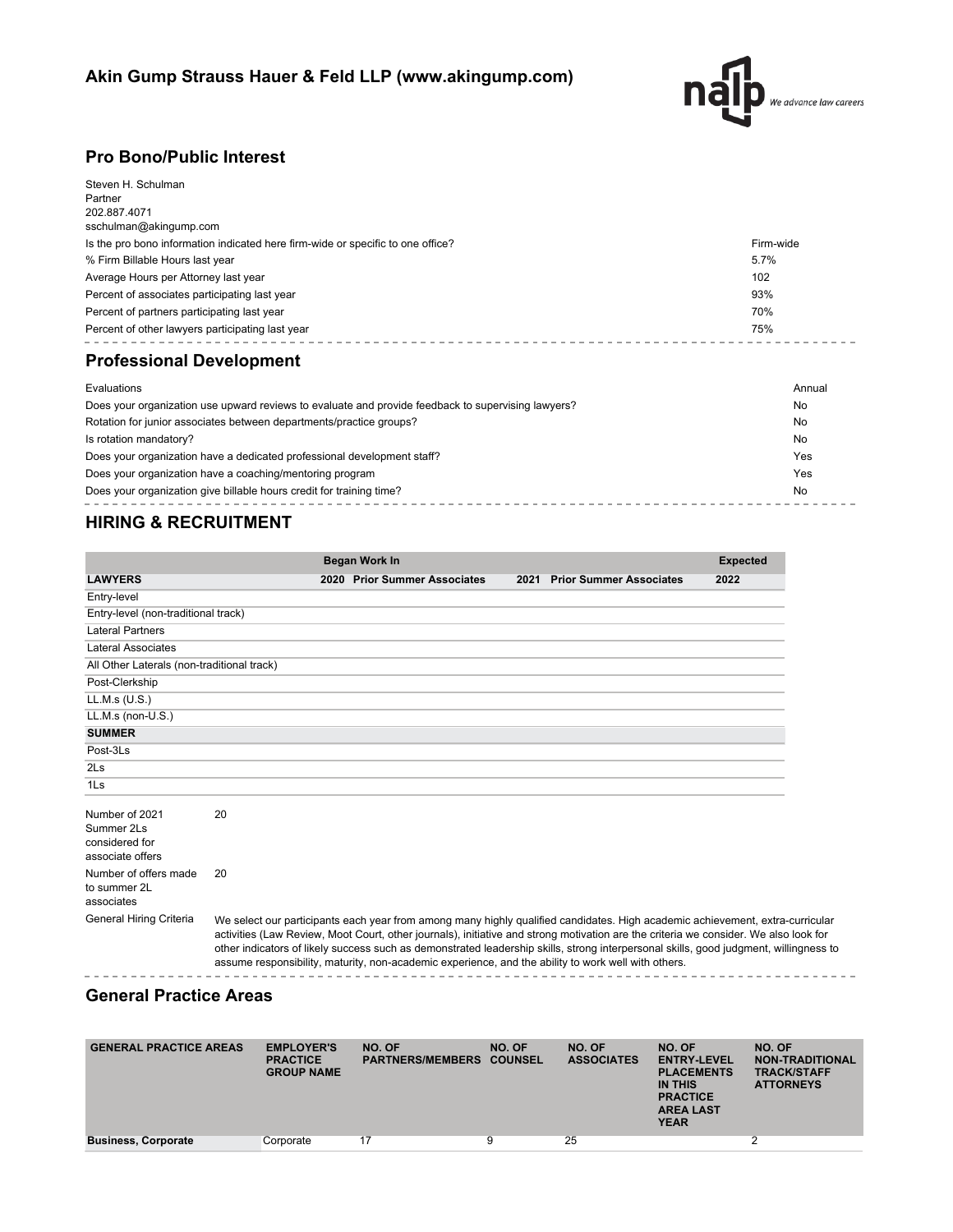

# **Pro Bono/Public Interest**

| Steven H. Schulman<br>Partner<br>202.887.4071                                                      |              |
|----------------------------------------------------------------------------------------------------|--------------|
| sschulman@akingump.com                                                                             |              |
| Is the pro bono information indicated here firm-wide or specific to one office?                    | Firm-wide    |
| % Firm Billable Hours last year                                                                    | 5.7%         |
| Average Hours per Attorney last year                                                               | 102          |
| Percent of associates participating last year                                                      | 93%          |
| Percent of partners participating last year                                                        | 70%          |
| Percent of other lawyers participating last year                                                   | 75%          |
| <b>Professional Development</b>                                                                    |              |
| Evaluations                                                                                        | Annual       |
| Does vour organization use unward reviews to evaluate and provide feedback to supervising lawyers? | $N_{\Omega}$ |

| Does your organization use upward reviews to evaluate and provide feedback to supervising lawyers?<br>No |     |  |  |
|----------------------------------------------------------------------------------------------------------|-----|--|--|
| Rotation for junior associates between departments/practice groups?                                      | No  |  |  |
| Is rotation mandatory?                                                                                   | No  |  |  |
| Does your organization have a dedicated professional development staff?                                  | Yes |  |  |
| Does your organization have a coaching/mentoring program                                                 | Yes |  |  |
| Does your organization give billable hours credit for training time?                                     | No  |  |  |
|                                                                                                          |     |  |  |

# **HIRING & RECRUITMENT**

|                                                                    |    | <b>Began Work In</b>                                                                                |                                                                                                                                                                                                                                                                                                                                                                                                                | <b>Expected</b> |
|--------------------------------------------------------------------|----|-----------------------------------------------------------------------------------------------------|----------------------------------------------------------------------------------------------------------------------------------------------------------------------------------------------------------------------------------------------------------------------------------------------------------------------------------------------------------------------------------------------------------------|-----------------|
| <b>LAWYERS</b>                                                     |    | 2020 Prior Summer Associates                                                                        | 2021 Prior Summer Associates                                                                                                                                                                                                                                                                                                                                                                                   | 2022            |
| Entry-level                                                        |    |                                                                                                     |                                                                                                                                                                                                                                                                                                                                                                                                                |                 |
| Entry-level (non-traditional track)                                |    |                                                                                                     |                                                                                                                                                                                                                                                                                                                                                                                                                |                 |
| <b>Lateral Partners</b>                                            |    |                                                                                                     |                                                                                                                                                                                                                                                                                                                                                                                                                |                 |
| Lateral Associates                                                 |    |                                                                                                     |                                                                                                                                                                                                                                                                                                                                                                                                                |                 |
| All Other Laterals (non-traditional track)                         |    |                                                                                                     |                                                                                                                                                                                                                                                                                                                                                                                                                |                 |
| Post-Clerkship                                                     |    |                                                                                                     |                                                                                                                                                                                                                                                                                                                                                                                                                |                 |
| LL.M.s (U.S.)                                                      |    |                                                                                                     |                                                                                                                                                                                                                                                                                                                                                                                                                |                 |
| LL.M.s (non-U.S.)                                                  |    |                                                                                                     |                                                                                                                                                                                                                                                                                                                                                                                                                |                 |
| <b>SUMMER</b>                                                      |    |                                                                                                     |                                                                                                                                                                                                                                                                                                                                                                                                                |                 |
| Post-3Ls                                                           |    |                                                                                                     |                                                                                                                                                                                                                                                                                                                                                                                                                |                 |
| 2 <sub>ls</sub>                                                    |    |                                                                                                     |                                                                                                                                                                                                                                                                                                                                                                                                                |                 |
| 1 <sub>ls</sub>                                                    |    |                                                                                                     |                                                                                                                                                                                                                                                                                                                                                                                                                |                 |
| Number of 2021<br>Summer 2Ls<br>considered for<br>associate offers | 20 |                                                                                                     |                                                                                                                                                                                                                                                                                                                                                                                                                |                 |
| Number of offers made<br>to summer 2L<br>associates                | 20 |                                                                                                     |                                                                                                                                                                                                                                                                                                                                                                                                                |                 |
| General Hiring Criteria                                            |    | assume responsibility, maturity, non-academic experience, and the ability to work well with others. | We select our participants each year from among many highly qualified candidates. High academic achievement, extra-curricular<br>activities (Law Review, Moot Court, other journals), initiative and strong motivation are the criteria we consider. We also look for<br>other indicators of likely success such as demonstrated leadership skills, strong interpersonal skills, good judgment, willingness to |                 |

## **General Practice Areas**

| <b>GENERAL PRACTICE AREAS</b> | <b>EMPLOYER'S</b><br><b>PRACTICE</b><br><b>GROUP NAME</b> | NO. OF<br><b>PARTNERS/MEMBERS COUNSEL</b> | NO. OF | NO. OF<br><b>ASSOCIATES</b> | NO. OF<br><b>ENTRY-LEVEL</b><br><b>PLACEMENTS</b><br><b>IN THIS</b><br><b>PRACTICE</b><br><b>AREA LAST</b><br><b>YEAR</b> | NO. OF<br><b>NON-TRADITIONAL</b><br><b>TRACK/STAFF</b><br><b>ATTORNEYS</b> |
|-------------------------------|-----------------------------------------------------------|-------------------------------------------|--------|-----------------------------|---------------------------------------------------------------------------------------------------------------------------|----------------------------------------------------------------------------|
| <b>Business, Corporate</b>    | Corporate                                                 | 17                                        |        | 25                          |                                                                                                                           |                                                                            |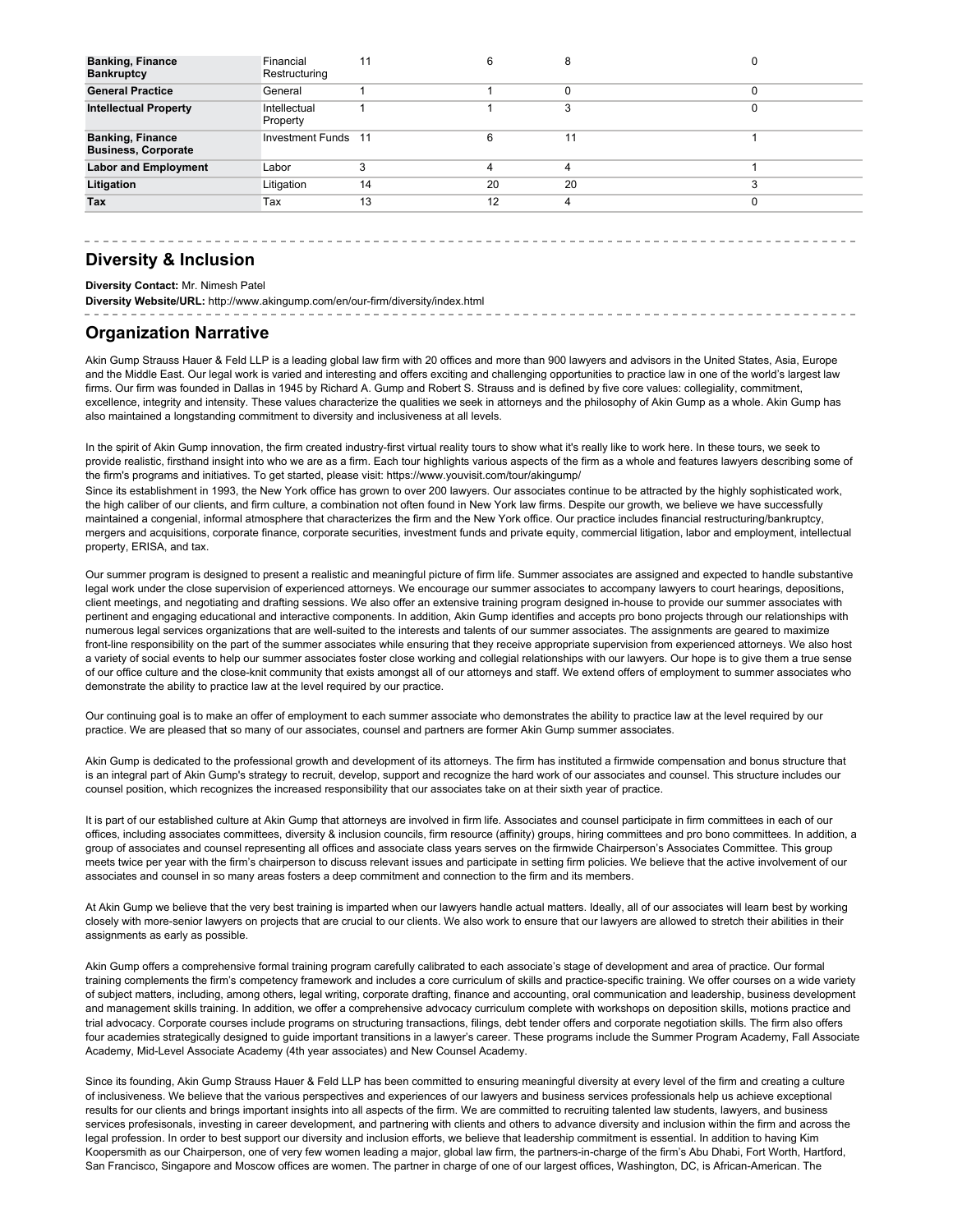| <b>Banking, Finance</b><br><b>Bankruptcy</b>          | Financial<br>Restructuring | 11 |    |    |          |
|-------------------------------------------------------|----------------------------|----|----|----|----------|
| <b>General Practice</b>                               | General                    |    |    |    | $\Omega$ |
| <b>Intellectual Property</b>                          | Intellectual<br>Property   |    |    | 3  | 0        |
| <b>Banking, Finance</b><br><b>Business, Corporate</b> | <b>Investment Funds</b> 11 |    | 6  | 11 |          |
| <b>Labor and Employment</b>                           | Labor                      | 3  | 4  | 4  |          |
| Litigation                                            | Litigation                 | 14 | 20 | 20 |          |
| <b>Tax</b>                                            | Tax                        | 13 | 12 | 4  | 0        |
|                                                       |                            |    |    |    |          |

#### **Diversity & Inclusion**

**Diversity Contact:** Mr. Nimesh Patel

**Diversity Website/URL:** http://www.akingump.com/en/our-firm/diversity/index.html

#### **Organization Narrative**

Akin Gump Strauss Hauer & Feld LLP is a leading global law firm with 20 offices and more than 900 lawyers and advisors in the United States, Asia, Europe and the Middle East. Our legal work is varied and interesting and offers exciting and challenging opportunities to practice law in one of the world's largest law firms. Our firm was founded in Dallas in 1945 by Richard A. Gump and Robert S. Strauss and is defined by five core values: collegiality, commitment, excellence, integrity and intensity. These values characterize the qualities we seek in attorneys and the philosophy of Akin Gump as a whole. Akin Gump has also maintained a longstanding commitment to diversity and inclusiveness at all levels.

In the spirit of Akin Gump innovation, the firm created industry-first virtual reality tours to show what it's really like to work here. In these tours, we seek to provide realistic, firsthand insight into who we are as a firm. Each tour highlights various aspects of the firm as a whole and features lawyers describing some of the firm's programs and initiatives. To get started, please visit: https://www.youvisit.com/tour/akingump/

Since its establishment in 1993, the New York office has grown to over 200 lawyers. Our associates continue to be attracted by the highly sophisticated work, the high caliber of our clients, and firm culture, a combination not often found in New York law firms. Despite our growth, we believe we have successfully maintained a congenial, informal atmosphere that characterizes the firm and the New York office. Our practice includes financial restructuring/bankruptcy, mergers and acquisitions, corporate finance, corporate securities, investment funds and private equity, commercial litigation, labor and employment, intellectual property, ERISA, and tax.

Our summer program is designed to present a realistic and meaningful picture of firm life. Summer associates are assigned and expected to handle substantive legal work under the close supervision of experienced attorneys. We encourage our summer associates to accompany lawyers to court hearings, depositions, client meetings, and negotiating and drafting sessions. We also offer an extensive training program designed in-house to provide our summer associates with pertinent and engaging educational and interactive components. In addition, Akin Gump identifies and accepts pro bono projects through our relationships with numerous legal services organizations that are well-suited to the interests and talents of our summer associates. The assignments are geared to maximize front-line responsibility on the part of the summer associates while ensuring that they receive appropriate supervision from experienced attorneys. We also host a variety of social events to help our summer associates foster close working and collegial relationships with our lawyers. Our hope is to give them a true sense of our office culture and the close-knit community that exists amongst all of our attorneys and staff. We extend offers of employment to summer associates who demonstrate the ability to practice law at the level required by our practice.

Our continuing goal is to make an offer of employment to each summer associate who demonstrates the ability to practice law at the level required by our practice. We are pleased that so many of our associates, counsel and partners are former Akin Gump summer associates.

Akin Gump is dedicated to the professional growth and development of its attorneys. The firm has instituted a firmwide compensation and bonus structure that is an integral part of Akin Gump's strategy to recruit, develop, support and recognize the hard work of our associates and counsel. This structure includes our counsel position, which recognizes the increased responsibility that our associates take on at their sixth year of practice.

It is part of our established culture at Akin Gump that attorneys are involved in firm life. Associates and counsel participate in firm committees in each of our offices, including associates committees, diversity & inclusion councils, firm resource (affinity) groups, hiring committees and pro bono committees. In addition, a group of associates and counsel representing all offices and associate class years serves on the firmwide Chairperson's Associates Committee. This group meets twice per year with the firm's chairperson to discuss relevant issues and participate in setting firm policies. We believe that the active involvement of our associates and counsel in so many areas fosters a deep commitment and connection to the firm and its members.

At Akin Gump we believe that the very best training is imparted when our lawyers handle actual matters. Ideally, all of our associates will learn best by working closely with more-senior lawyers on projects that are crucial to our clients. We also work to ensure that our lawyers are allowed to stretch their abilities in their assignments as early as possible.

Akin Gump offers a comprehensive formal training program carefully calibrated to each associate's stage of development and area of practice. Our formal training complements the firm's competency framework and includes a core curriculum of skills and practice-specific training. We offer courses on a wide variety of subject matters, including, among others, legal writing, corporate drafting, finance and accounting, oral communication and leadership, business development and management skills training. In addition, we offer a comprehensive advocacy curriculum complete with workshops on deposition skills, motions practice and trial advocacy. Corporate courses include programs on structuring transactions, filings, debt tender offers and corporate negotiation skills. The firm also offers four academies strategically designed to guide important transitions in a lawyer's career. These programs include the Summer Program Academy, Fall Associate Academy, Mid-Level Associate Academy (4th year associates) and New Counsel Academy.

Since its founding, Akin Gump Strauss Hauer & Feld LLP has been committed to ensuring meaningful diversity at every level of the firm and creating a culture of inclusiveness. We believe that the various perspectives and experiences of our lawyers and business services professionals help us achieve exceptional results for our clients and brings important insights into all aspects of the firm. We are committed to recruiting talented law students, lawyers, and business services profesisonals, investing in career development, and partnering with clients and others to advance diversity and inclusion within the firm and across the legal profession. In order to best support our diversity and inclusion efforts, we believe that leadership commitment is essential. In addition to having Kim Koopersmith as our Chairperson, one of very few women leading a major, global law firm, the partners-in-charge of the firm's Abu Dhabi, Fort Worth, Hartford, San Francisco, Singapore and Moscow offices are women. The partner in charge of one of our largest offices, Washington, DC, is African-American. The